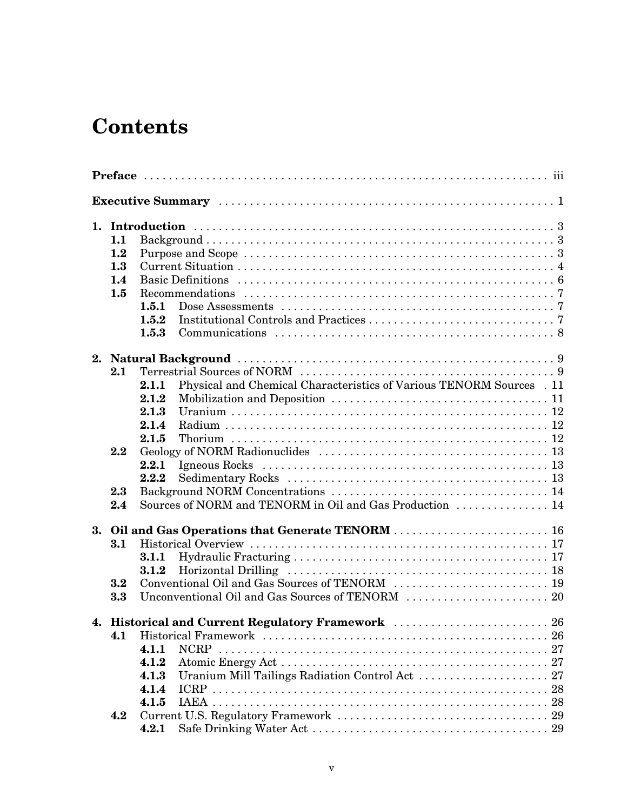## **Contents**

|  | 1.1     |                |                                                                      |  |  |  |  |  |  |  |
|--|---------|----------------|----------------------------------------------------------------------|--|--|--|--|--|--|--|
|  | 1.2     |                |                                                                      |  |  |  |  |  |  |  |
|  | 1.3     |                |                                                                      |  |  |  |  |  |  |  |
|  | $1.4\,$ |                |                                                                      |  |  |  |  |  |  |  |
|  | 1.5     |                |                                                                      |  |  |  |  |  |  |  |
|  |         | 1.5.1          |                                                                      |  |  |  |  |  |  |  |
|  |         | 1.5.2          |                                                                      |  |  |  |  |  |  |  |
|  |         | 1.5.3          |                                                                      |  |  |  |  |  |  |  |
|  |         |                |                                                                      |  |  |  |  |  |  |  |
|  | 2.1     |                |                                                                      |  |  |  |  |  |  |  |
|  |         | 2.1.1          | Physical and Chemical Characteristics of Various TENORM Sources . 11 |  |  |  |  |  |  |  |
|  |         | 2.1.2          |                                                                      |  |  |  |  |  |  |  |
|  |         | 2.1.3          |                                                                      |  |  |  |  |  |  |  |
|  |         | 2.1.4          |                                                                      |  |  |  |  |  |  |  |
|  |         | 2.1.5          |                                                                      |  |  |  |  |  |  |  |
|  | 2.2     |                |                                                                      |  |  |  |  |  |  |  |
|  |         |                |                                                                      |  |  |  |  |  |  |  |
|  |         | 2.2.1<br>2.2.2 |                                                                      |  |  |  |  |  |  |  |
|  |         |                |                                                                      |  |  |  |  |  |  |  |
|  | 2.3     |                | Sources of NORM and TENORM in Oil and Gas Production  14             |  |  |  |  |  |  |  |
|  | 2.4     |                |                                                                      |  |  |  |  |  |  |  |
|  |         |                |                                                                      |  |  |  |  |  |  |  |
|  | 3.1     |                |                                                                      |  |  |  |  |  |  |  |
|  |         | 3.1.1          |                                                                      |  |  |  |  |  |  |  |
|  |         | 3.1.2          |                                                                      |  |  |  |  |  |  |  |
|  | 3.2     |                |                                                                      |  |  |  |  |  |  |  |
|  | 3.3     |                |                                                                      |  |  |  |  |  |  |  |
|  |         |                | 4. Historical and Current Regulatory Framework  26                   |  |  |  |  |  |  |  |
|  | 4.1     |                |                                                                      |  |  |  |  |  |  |  |
|  |         | 4.1.1          |                                                                      |  |  |  |  |  |  |  |
|  |         | 4.1.2          |                                                                      |  |  |  |  |  |  |  |
|  |         | 4.1.3          |                                                                      |  |  |  |  |  |  |  |
|  |         | 4.1.4          |                                                                      |  |  |  |  |  |  |  |
|  |         | 4.1.5          |                                                                      |  |  |  |  |  |  |  |
|  | 4.2     |                |                                                                      |  |  |  |  |  |  |  |
|  |         | 4.2.1          |                                                                      |  |  |  |  |  |  |  |
|  |         |                |                                                                      |  |  |  |  |  |  |  |